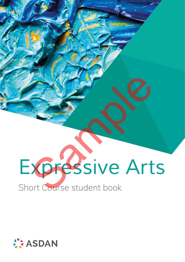## *Expressive Arts* Short Course student book **Sample Contracts Contracts Contracts Contracts Contracts Contracts Contracts Contracts Contracts Contracts Contracts Contracts Contracts Contracts Contracts Contracts Contracts Contracts Contracts Contracts Contracts Cont**

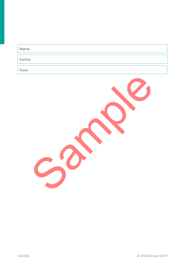| Name:   |  |  |  |
|---------|--|--|--|
| Centre: |  |  |  |
| Tutor:  |  |  |  |

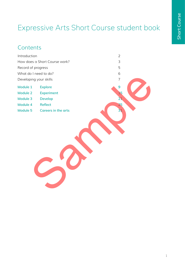## Expressive Arts Short Course student book

### **Contents**

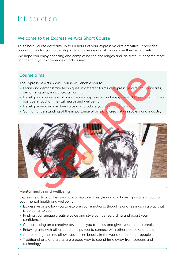### Introduction

#### **Welcome to the Expressive Arts Short Course**

This Short Course accredits up to 60 hours of your expressive arts activities. It provides opportunities for you to develop arts knowledge and skills and use them effectively.

We hope you enjoy choosing and completing the challenges and, as a result, become more confident in your knowledge of arts issues.

#### **Course aims**

The Expressive Arts Short Course will enable you to:

- Learn and demonstrate techniques in different forms of expressive arts (eq visual arts, performing arts, music, crafts, writing)
- Develop an awareness of how creative expression and enjoyment of the arts can have a positive impact on mental health and wellbeing
- Develop your own creative voice and produce your own original work
- Gain an understanding of the importance of arts and creativity in society and industry



#### **Mental health and wellbeing**

Expressive arts activities promote a healthier lifestyle and can have a positive impact on your mental health and wellbeing.

- Expressive arts allow you to explore your emotions, thoughts and feelings in a way that is personal to you.
- Finding your unique creative voice and style can be rewarding and boost your confidence.
- Concentrating on a creative task helps you to focus and gives your mind a break.
- Enjoying arts with other people helps you to connect with other people and relax.
- Appreciating the arts allows you to see beauty in the world and in other people.
- Traditional arts and crafts are a good way to spend time away from screens and technology.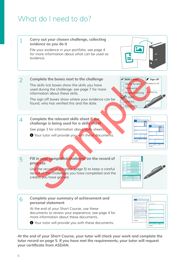### What do I need to do?



**At the end of your Short Course, your tutor will check your work and complete the tutor record on page 5. If you have met the requirements, your tutor will request your certificate from ASDAN.**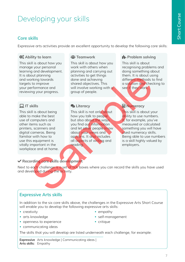## Developing your skills

#### **Core skills**

Expressive arts activities provide an excellent opportunity to develop the following core skills:

#### **Ability to learn**

This skill is about how you manage your personal learning and development. It is about planning and working towards targets to improve your performance and reviewing your progress.

#### $\Box$  IT skills

This skill is about being able to make the best use of computers and other items such as printers, scanners and digital cameras. Being familiar with how to use this equipment is vitally important in the workplace and at home.

#### **2: Teamwork**

This skill is about how you work with others when planning and carrying out activities to get things done and achieving shared objectives. This will involve working with a group of people.

#### **2** Literacy

This skill is not only about how you talk to people but also about the ways you find out information and let other people know about your views and opinions. It also includes all aspects of writing and reading. Not plenning<br>
or the control of the solution of the solution of the solution and chief the solution and chief<br>
samples the same different methods to improve<br>
shared objectives. This<br>
still is obout progress.<br>
still is obou

#### *H*- Problem solving

This skill is about recognising problems and doing something about them. It is about using different methods to find a solution and checking to see if they work.

#### *<u>H</u>* Numeracy

This skill is about your ability to use numbers. If, for example, you've measured or calculated something you will have used numeracy skills. Being able to use numbers is a skill highly valued by employers.

#### **Recording core skills development**

Next to each challenge is a set of tick boxes where you can record the skills you have used and developed during the activity.

#### **Expressive Arts skills**

In addition to the six core skills above, the challenges in the Expressive Arts Short Course will enable you to develop the following expressive arts skills:

- creativity
- arts knowledge
- openness to experience
- communicating ideas
- empathy
- self-management
- critique

The skills that you will develop are listed underneath each challenge, for example:

**Expressive**  Arts knowledge | Communicating ideas | **Arts skills:**  Empathy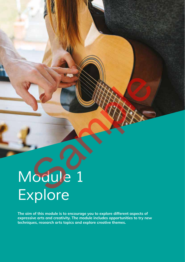# *Module 1 Explore* Sample 1

**The aim of this module is to encourage you to explore different aspects of expressive arts and creativity. The module includes opportunities to try new techniques, research arts topics and explore creative themes.**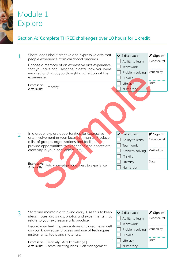## Module 1 Explore

#### **Section A: Complete THREE challenges over 10 hours for 1 credit**

|  | Share ideas about creative and expressive arts that<br>people experience from childhood onwards.                                                                                                                                                                                                                                          | ✔ Skills I used:                                                                                         | Sign off:                                        |
|--|-------------------------------------------------------------------------------------------------------------------------------------------------------------------------------------------------------------------------------------------------------------------------------------------------------------------------------------------|----------------------------------------------------------------------------------------------------------|--------------------------------------------------|
|  |                                                                                                                                                                                                                                                                                                                                           | Ability to learn                                                                                         | Evidence ref                                     |
|  | Choose a memory of an expressive arts experience<br>that you have had. Describe in detail how you were                                                                                                                                                                                                                                    | Teamwork                                                                                                 |                                                  |
|  | involved and what you thought and felt about the                                                                                                                                                                                                                                                                                          | Problem solving                                                                                          | Verified by                                      |
|  | experience.                                                                                                                                                                                                                                                                                                                               | IT skills                                                                                                |                                                  |
|  | Expressive                                                                                                                                                                                                                                                                                                                                | Literacy                                                                                                 | Date                                             |
|  | Empathy<br>Arts skills:                                                                                                                                                                                                                                                                                                                   | Numeracy                                                                                                 |                                                  |
|  | In a group, explore opportunities for expressive<br>arts involvement in your local community. Produce<br>a list of groups, organisations and facilities that<br>provide opportunities to experience and appreciate<br>creativity in your local community.<br><b>Expressive</b><br>Arts knowledge   Openness to experience<br>Arts skills: | ✔ Skills I used:<br>Ability to learn<br>Teamwork<br>Problem solving<br>IT skills<br>Literacy<br>Numeracy | Sign off:<br>Evidence ref<br>Verified by<br>Date |

Start and maintain a thinking diary. Use this to keep ideas, notes, drawings, photos and experiments that relate to your expressive arts practice. 3

> Record your feelings, perceptions and dreams as well as your knowledge, process and use of techniques, instruments, tools and materials.

**Expressive**  Creativity | Arts knowledge | **Arts skills:**  Communicating ideas | Self-management Skills I used: **P** Sign off: Ability to learn | Evidence ref Teamwork  $\Box$  Problem solving Verified by  $\overline{\phantom{a}}$  IT skills Literacy Date Numeracy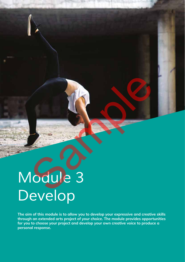# *Module 3 Develop* Samples River

**The aim of this module is to allow you to develop your expressive and creative skills through an extended arts project of your choice. The module provides opportunities for you to choose your project and develop your own creative voice to produce a personal response.**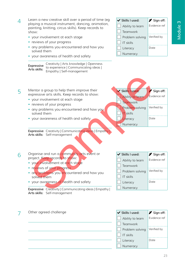23

- Learn a new creative skill over a period of time (eg playing a musical instrument, dancing, animation, painting, knitting, circus skills). Keep records to show:  $\Delta$ 
	- your involvement at each stage
	- reviews of your progress
	- any problems you encountered and how you solved them
	- your awareness of health and safety

**Expressive Arts skills:**  Creativity | Arts knowledge | Openness to experience | Communicating ideas | Empathy | Self-management

- Mentor a group to help them improve their 5
	- expressive arts skills. Keep records to show:
		- your involvement at each stage
		- reviews of your progress
		- any problems you encountered and how you solved them
		- your awareness of health and safety

**Expressive** Creativity | Communicating ideas | Empathy | **Arts skills:**  Self-management

Organise and run a community arts event or project. Keep records to show: 6

- your involvement at each stage
- reviews of your progress
- any problems you encountered and how you solved them
- your awareness of health and safety

**Expressive** Creativity | Communicating ideas | Empathy | **Arts skills:**  Self-management

| Problem solving | Verified by |
|-----------------|-------------|
| IT skills       |             |
| Literacy        | Date        |
| Numeracy        |             |
|                 |             |
|                 |             |
|                 |             |

Skills I used: <sup>2</sup> Sign off: Ability to learn | Evidence ref

Teamwork





- Skills I used: **P** Sign off: Ability to learn Evidence ref Teamwork Problem solving Verified by
- IT skills
- Literacy Date
- Numeracy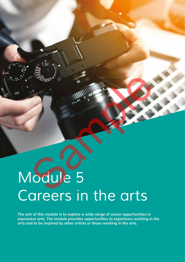## *Module 5 Careers in the arts* Sample 5

**The aim of this module is to explore a wide range of career opportunities in expressive arts. The module provides opportunities to experience working in the arts and to be inspired by other artists or those working in the arts.**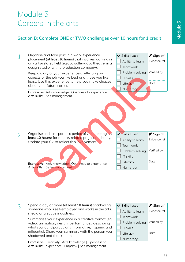### Module 5 Careers in the arts

#### **Section B: Complete ONE or TWO challenges over 10 hours for 1 credit**



Spend a day or more (**at least 10 hours**) shadowing someone who is self-employed and works in the arts, media or creative industries. 3

> Summarise your experience in a creative format (eg video, animation, design, performance), describing what you found particularly informative, inspiring and influential. Share your summary with the person you shadowed and thank them.

**Expressive** Creativity | Arts knowledge | Openness to **Arts skills:**  experience | Empathy | Self-management

| $\vee$ Skills I used: | Sign off:    |
|-----------------------|--------------|
| Ability to learn      | Evidence ref |
| Teamwork              |              |
| Problem solving       | Verified by  |
| IT skills             |              |
| Literacy              | Date         |
| Numeracy              |              |